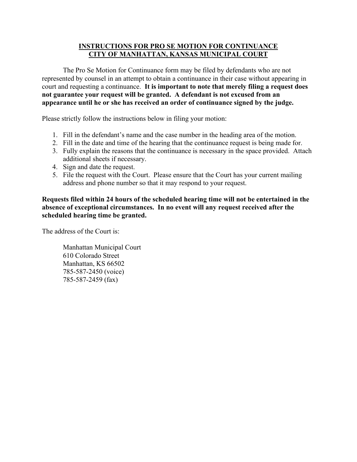## **INSTRUCTIONS FOR PRO SE MOTION FOR CONTINUANCE CITY OF MANHATTAN, KANSAS MUNICIPAL COURT**

The Pro Se Motion for Continuance form may be filed by defendants who are not represented by counsel in an attempt to obtain a continuance in their case without appearing in court and requesting a continuance. **It is important to note that merely filing a request does not guarantee your request will be granted. A defendant is not excused from an appearance until he or she has received an order of continuance signed by the judge.**

Please strictly follow the instructions below in filing your motion:

- 1. Fill in the defendant's name and the case number in the heading area of the motion.
- 2. Fill in the date and time of the hearing that the continuance request is being made for.
- 3. Fully explain the reasons that the continuance is necessary in the space provided. Attach additional sheets if necessary.
- 4. Sign and date the request.
- 5. File the request with the Court. Please ensure that the Court has your current mailing address and phone number so that it may respond to your request.

## **Requests filed within 24 hours of the scheduled hearing time will not be entertained in the absence of exceptional circumstances. In no event will any request received after the scheduled hearing time be granted.**

The address of the Court is:

Manhattan Municipal Court 610 Colorado Street Manhattan, KS 66502 785-587-2450 (voice) 785-587-2459 (fax)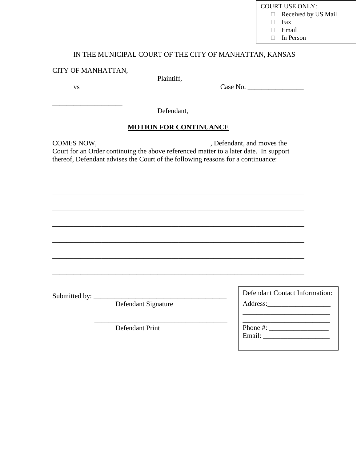| COURT USE ONLY:            |
|----------------------------|
| $\Box$ Received by US Mail |
| $\Box$ Fax                 |
| $\Box$ Email               |
| $\Box$ In Person           |

# IN THE MUNICIPAL COURT OF THE CITY OF MANHATTAN, KANSAS

#### CITY OF MANHATTAN,

\_\_\_\_\_\_\_\_\_\_\_\_\_\_\_\_\_\_\_\_

Plaintiff,

vs Case No. \_\_\_\_\_\_\_\_\_\_\_\_\_\_\_\_

Defendant,

## **MOTION FOR CONTINUANCE**

\_\_\_\_\_\_\_\_\_\_\_\_\_\_\_\_\_\_\_\_\_\_\_\_\_\_\_\_\_\_\_\_\_\_\_\_\_\_\_\_\_\_\_\_\_\_\_\_\_\_\_\_\_\_\_\_\_\_\_\_\_\_\_\_\_\_\_\_\_\_\_\_

\_\_\_\_\_\_\_\_\_\_\_\_\_\_\_\_\_\_\_\_\_\_\_\_\_\_\_\_\_\_\_\_\_\_\_\_\_\_\_\_\_\_\_\_\_\_\_\_\_\_\_\_\_\_\_\_\_\_\_\_\_\_\_\_\_\_\_\_\_\_\_\_

\_\_\_\_\_\_\_\_\_\_\_\_\_\_\_\_\_\_\_\_\_\_\_\_\_\_\_\_\_\_\_\_\_\_\_\_\_\_\_\_\_\_\_\_\_\_\_\_\_\_\_\_\_\_\_\_\_\_\_\_\_\_\_\_\_\_\_\_\_\_\_\_

\_\_\_\_\_\_\_\_\_\_\_\_\_\_\_\_\_\_\_\_\_\_\_\_\_\_\_\_\_\_\_\_\_\_\_\_\_\_\_\_\_\_\_\_\_\_\_\_\_\_\_\_\_\_\_\_\_\_\_\_\_\_\_\_\_\_\_\_\_\_\_\_

\_\_\_\_\_\_\_\_\_\_\_\_\_\_\_\_\_\_\_\_\_\_\_\_\_\_\_\_\_\_\_\_\_\_\_\_\_\_\_\_\_\_\_\_\_\_\_\_\_\_\_\_\_\_\_\_\_\_\_\_\_\_\_\_\_\_\_\_\_\_\_\_

\_\_\_\_\_\_\_\_\_\_\_\_\_\_\_\_\_\_\_\_\_\_\_\_\_\_\_\_\_\_\_\_\_\_\_\_\_\_\_\_\_\_\_\_\_\_\_\_\_\_\_\_\_\_\_\_\_\_\_\_\_\_\_\_\_\_\_\_\_\_\_\_

\_\_\_\_\_\_\_\_\_\_\_\_\_\_\_\_\_\_\_\_\_\_\_\_\_\_\_\_\_\_\_\_\_\_\_\_\_\_\_\_\_\_\_\_\_\_\_\_\_\_\_\_\_\_\_\_\_\_\_\_\_\_\_\_\_\_\_\_\_\_\_\_

COMES NOW, \_\_\_\_\_\_\_\_\_\_\_\_\_\_\_\_\_\_\_\_\_\_\_\_\_\_\_\_\_\_\_\_\_\_, Defendant, and moves the Court for an Order continuing the above referenced matter to a later date. In support thereof, Defendant advises the Court of the following reasons for a continuance:

Submitted by: \_\_\_\_\_\_\_\_\_\_\_\_\_\_\_\_\_\_\_\_\_\_\_\_\_\_\_\_\_\_\_\_\_\_\_\_\_\_

Defendant Signature

\_\_\_\_\_\_\_\_\_\_\_\_\_\_\_\_\_\_\_\_\_\_\_\_\_\_\_\_\_\_\_\_\_\_\_\_\_\_

Defendant Print

| Defendant Contact Information: |  |  |
|--------------------------------|--|--|
| Address:                       |  |  |
|                                |  |  |
| Phone $\#$ :                   |  |  |
|                                |  |  |
|                                |  |  |